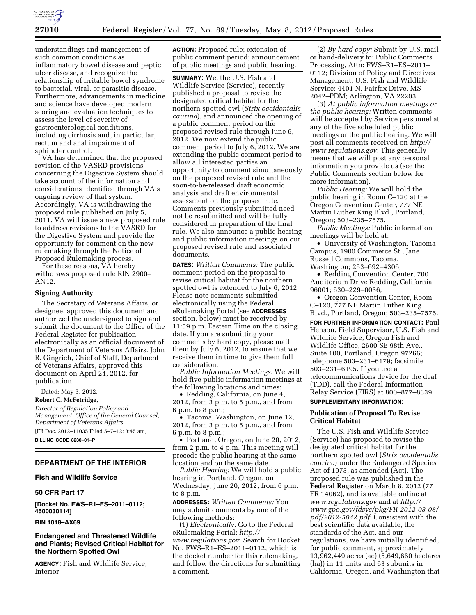

understandings and management of such common conditions as inflammatory bowel disease and peptic ulcer disease, and recognize the relationship of irritable bowel syndrome to bacterial, viral, or parasitic disease. Furthermore, advancements in medicine and science have developed modern scoring and evaluation techniques to assess the level of severity of gastroenterological conditions, including cirrhosis and, in particular, rectum and anal impairment of sphincter control.

VA has determined that the proposed revision of the VASRD provisions concerning the Digestive System should take account of the information and considerations identified through VA's ongoing review of that system. Accordingly, VA is withdrawing the proposed rule published on July 5, 2011. VA will issue a new proposed rule to address revisions to the VASRD for the Digestive System and provide the opportunity for comment on the new rulemaking through the Notice of Proposed Rulemaking process.

For these reasons, VA hereby withdraws proposed rule RIN 2900– AN12.

### **Signing Authority**

The Secretary of Veterans Affairs, or designee, approved this document and authorized the undersigned to sign and submit the document to the Office of the Federal Register for publication electronically as an official document of the Department of Veterans Affairs. John R. Gingrich, Chief of Staff, Department of Veterans Affairs, approved this document on April 24, 2012, for publication.

Dated: May 3, 2012.

### **Robert C. McFetridge,**

*Director of Regulation Policy and Management, Office of the General Counsel, Department of Veterans Affairs.* 

[FR Doc. 2012–11035 Filed 5–7–12; 8:45 am]

# **BILLING CODE 8230–01–P**

# **DEPARTMENT OF THE INTERIOR**

# **Fish and Wildlife Service**

# **50 CFR Part 17**

**[Docket No. FWS–R1–ES–2011–0112; 4500030114]** 

### **RIN 1018–AX69**

## **Endangered and Threatened Wildlife and Plants; Revised Critical Habitat for the Northern Spotted Owl**

**AGENCY:** Fish and Wildlife Service, Interior.

**ACTION:** Proposed rule; extension of public comment period; announcement of public meetings and public hearing.

**SUMMARY:** We, the U.S. Fish and Wildlife Service (Service), recently published a proposal to revise the designated critical habitat for the northern spotted owl (*Strix occidentalis caurina*), and announced the opening of a public comment period on the proposed revised rule through June 6, 2012. We now extend the public comment period to July 6, 2012. We are extending the public comment period to allow all interested parties an opportunity to comment simultaneously on the proposed revised rule and the soon-to-be-released draft economic analysis and draft environmental assessment on the proposed rule. Comments previously submitted need not be resubmitted and will be fully considered in preparation of the final rule. We also announce a public hearing and public information meetings on our proposed revised rule and associated documents.

**DATES:** *Written Comments:* The public comment period on the proposal to revise critical habitat for the northern spotted owl is extended to July 6, 2012. Please note comments submitted electronically using the Federal eRulemaking Portal (see **ADDRESSES** section, below) must be received by 11:59 p.m. Eastern Time on the closing date. If you are submitting your comments by hard copy, please mail them by July 6, 2012, to ensure that we receive them in time to give them full consideration.

*Public Information Meetings:* We will hold five public information meetings at the following locations and times:

• Redding, California, on June 4, 2012, from 3 p.m. to 5 p.m., and from 6 p.m. to 8 p.m.;

• Tacoma, Washington, on June 12, 2012, from 3 p.m. to 5 p.m., and from 6 p.m. to 8 p.m.;

• Portland, Oregon, on June 20, 2012, from 2 p.m. to 4 p.m. This meeting will precede the public hearing at the same location and on the same date.

*Public Hearing:* We will hold a public hearing in Portland, Oregon, on Wednesday, June 20, 2012, from 6 p.m. to 8 p.m.

**ADDRESSES:** *Written Comments:* You may submit comments by one of the following methods:

(1) *Electronically:* Go to the Federal eRulemaking Portal: *[http://](http://www.regulations.gov) [www.regulations.gov.](http://www.regulations.gov)* Search for Docket No. FWS–R1–ES–2011–0112, which is the docket number for this rulemaking, and follow the directions for submitting a comment.

(2) *By hard copy:* Submit by U.S. mail or hand-delivery to: Public Comments Processing, Attn: FWS–R1–ES–2011– 0112; Division of Policy and Directives Management; U.S. Fish and Wildlife Service; 4401 N. Fairfax Drive, MS 2042–PDM; Arlington, VA 22203.

(3) *At public information meetings or the public hearing:* Written comments will be accepted by Service personnel at any of the five scheduled public meetings or the public hearing. We will post all comments received on *[http://](http://www.regulations.gov)  [www.regulations.gov.](http://www.regulations.gov)* This generally means that we will post any personal information you provide us (see the Public Comments section below for more information).

*Public Hearing:* We will hold the public hearing in Room C–120 at the Oregon Convention Center, 777 NE Martin Luther King Blvd., Portland, Oregon; 503–235–7575.

*Public Meetings:* Public information meetings will be held at:

• University of Washington, Tacoma Campus, 1900 Commerce St., Jane Russell Commons, Tacoma, Washington; 253–692–4306;

• Redding Convention Center, 700 Auditorium Drive Redding, California 96001; 530–229–0036;

• Oregon Convention Center, Room C–120, 777 NE Martin Luther King Blvd., Portland, Oregon; 503–235–7575.

**FOR FURTHER INFORMATION CONTACT:** Paul Henson, Field Supervisor, U.S. Fish and Wildlife Service, Oregon Fish and Wildlife Office, 2600 SE 98th Ave., Suite 100, Portland, Oregon 97266; telephone 503–231–6179; facsimile 503–231–6195. If you use a telecommunications device for the deaf (TDD), call the Federal Information Relay Service (FIRS) at 800–877–8339. **SUPPLEMENTARY INFORMATION:** 

# **Publication of Proposal To Revise Critical Habitat**

The U.S. Fish and Wildlife Service (Service) has proposed to revise the designated critical habitat for the northern spotted owl (*Strix occidentalis caurina*) under the Endangered Species Act of 1973, as amended (Act). The proposed rule was published in the **Federal Register** on March 8, 2012 (77 FR 14062), and is available online at *[www.regulations.gov](http://www.regulations.gov)* and at *[http://](http://www.gpo.gov/fdsys/pkg/FR-2012-03-08/pdf/2012-5042.pdf)  [www.gpo.gov/fdsys/pkg/FR-2012-03-08/](http://www.gpo.gov/fdsys/pkg/FR-2012-03-08/pdf/2012-5042.pdf) [pdf/2012-5042.pdf.](http://www.gpo.gov/fdsys/pkg/FR-2012-03-08/pdf/2012-5042.pdf)* Consistent with the best scientific data available, the standards of the Act, and our regulations, we have initially identified, for public comment, approximately 13,962,449 acres (ac) (5,649,660 hectares (ha)) in 11 units and 63 subunits in California, Oregon, and Washington that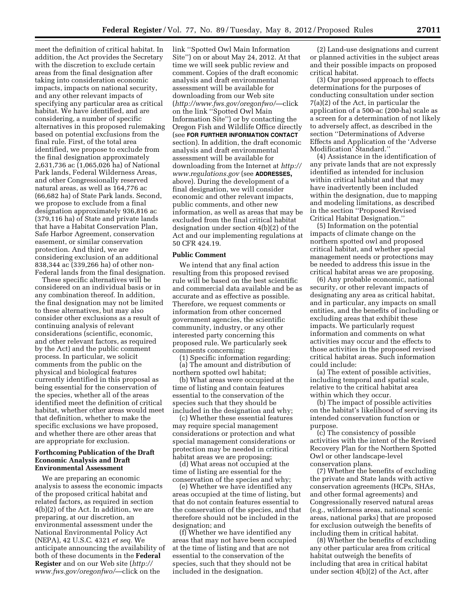meet the definition of critical habitat. In addition, the Act provides the Secretary with the discretion to exclude certain areas from the final designation after taking into consideration economic impacts, impacts on national security, and any other relevant impacts of specifying any particular area as critical habitat. We have identified, and are considering, a number of specific alternatives in this proposed rulemaking based on potential exclusions from the final rule. First, of the total area identified, we propose to exclude from the final designation approximately 2,631,736 ac (1,065,026 ha) of National Park lands, Federal Wilderness Areas, and other Congressionally reserved natural areas, as well as 164,776 ac (66,682 ha) of State Park lands. Second, we propose to exclude from a final designation approximately 936,816 ac (379,116 ha) of State and private lands that have a Habitat Conservation Plan, Safe Harbor Agreement, conservation easement, or similar conservation protection. And third, we are considering exclusion of an additional 838,344 ac (339,266 ha) of other non-Federal lands from the final designation.

These specific alternatives will be considered on an individual basis or in any combination thereof. In addition, the final designation may not be limited to these alternatives, but may also consider other exclusions as a result of continuing analysis of relevant considerations (scientific, economic, and other relevant factors, as required by the Act) and the public comment process. In particular, we solicit comments from the public on the physical and biological features currently identified in this proposal as being essential for the conservation of the species, whether all of the areas identified meet the definition of critical habitat, whether other areas would meet that definition, whether to make the specific exclusions we have proposed, and whether there are other areas that are appropriate for exclusion.

### **Forthcoming Publication of the Draft Economic Analysis and Draft Environmental Assessment**

We are preparing an economic analysis to assess the economic impacts of the proposed critical habitat and related factors, as required in section 4(b)(2) of the Act. In addition, we are preparing, at our discretion, an environmental assessment under the National Environmental Policy Act (NEPA), 42 U.S.C. 4321 *et seq.* We anticipate announcing the availability of both of these documents in the **Federal Register** and on our Web site (*[http://](http://www.fws.gov/oregonfwo/) [www.fws.gov/oregonfwo/](http://www.fws.gov/oregonfwo/)*—click on the

link ''Spotted Owl Main Information Site'') on or about May 24, 2012. At that time we will seek public review and comment. Copies of the draft economic analysis and draft environmental assessment will be available for downloading from our Web site (*<http://www.fws.gov/oregonfwo/>*—click on the link ''Spotted Owl Main Information Site'') or by contacting the Oregon Fish and Wildlife Office directly (see **FOR FURTHER INFORMATION CONTACT** section). In addition, the draft economic analysis and draft environmental assessment will be available for downloading from the Internet at *[http://](http://www.regulations.gov)  [www.regulations.gov](http://www.regulations.gov)* (see **ADDRESSES,**  above). During the development of a final designation, we will consider economic and other relevant impacts, public comments, and other new information, as well as areas that may be excluded from the final critical habitat designation under section 4(b)(2) of the Act and our implementing regulations at 50 CFR 424.19.

### **Public Comment**

We intend that any final action resulting from this proposed revised rule will be based on the best scientific and commercial data available and be as accurate and as effective as possible. Therefore, we request comments or information from other concerned government agencies, the scientific community, industry, or any other interested party concerning this proposed rule. We particularly seek comments concerning:

(1) Specific information regarding:

(a) The amount and distribution of northern spotted owl habitat;

(b) What areas were occupied at the time of listing and contain features essential to the conservation of the species such that they should be included in the designation and why;

(c) Whether these essential features may require special management considerations or protection and what special management considerations or protection may be needed in critical habitat areas we are proposing;

(d) What areas not occupied at the time of listing are essential for the conservation of the species and why;

(e) Whether we have identified any areas occupied at the time of listing, but that do not contain features essential to the conservation of the species, and that therefore should not be included in the designation; and

(f) Whether we have identified any areas that may not have been occupied at the time of listing and that are not essential to the conservation of the species, such that they should not be included in the designation.

(2) Land-use designations and current or planned activities in the subject areas and their possible impacts on proposed critical habitat.

(3) Our proposed approach to effects determinations for the purposes of conducting consultation under section 7(a)(2) of the Act, in particular the application of a 500-ac (200-ha) scale as a screen for a determination of not likely to adversely affect, as described in the section ''Determinations of Adverse Effects and Application of the 'Adverse Modification' Standard.''

(4) Assistance in the identification of any private lands that are not expressly identified as intended for inclusion within critical habitat and that may have inadvertently been included within the designation, due to mapping and modeling limitations, as described in the section ''Proposed Revised Critical Habitat Designation.''

(5) Information on the potential impacts of climate change on the northern spotted owl and proposed critical habitat, and whether special management needs or protections may be needed to address this issue in the critical habitat areas we are proposing.

(6) Any probable economic, national security, or other relevant impacts of designating any area as critical habitat, and in particular, any impacts on small entities, and the benefits of including or excluding areas that exhibit these impacts. We particularly request information and comments on what activities may occur and the effects to those activities in the proposed revised critical habitat areas. Such information could include:

(a) The extent of possible activities, including temporal and spatial scale, relative to the critical habitat area within which they occur.

(b) The impact of possible activities on the habitat's likelihood of serving its intended conservation function or purpose.

(c) The consistency of possible activities with the intent of the Revised Recovery Plan for the Northern Spotted Owl or other landscape-level conservation plans.

(7) Whether the benefits of excluding the private and State lands with active conservation agreements (HCPs, SHAs, and other formal agreements) and Congressionally reserved natural areas (e.g., wilderness areas, national scenic areas, national parks) that are proposed for exclusion outweigh the benefits of including them in critical habitat.

(8) Whether the benefits of excluding any other particular area from critical habitat outweigh the benefits of including that area in critical habitat under section 4(b)(2) of the Act, after